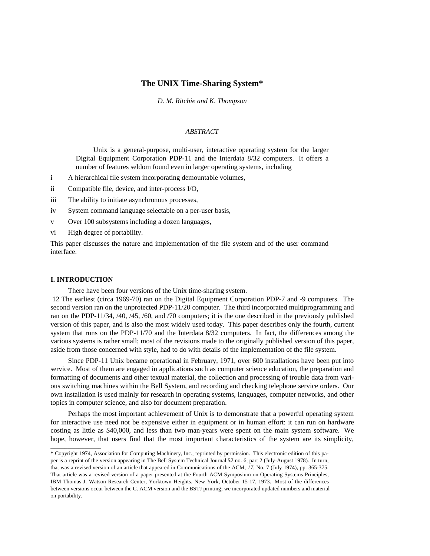## **The UNIX Time-Sharing System\***

*D. M. Ritchie and K. Thompson*

# *ABSTRACT*

Unix is a general-purpose, multi-user, interactive operating system for the larger Digital Equipment Corporation PDP-11 and the Interdata 8/32 computers. It offers a number of features seldom found even in larger operating systems, including

- i A hierarchical file system incorporating demountable volumes,
- ii Compatible file, device, and inter-process I/O,
- iii The ability to initiate asynchronous processes,
- iv System command language selectable on a per-user basis,
- v Over 100 subsystems including a dozen languages,
- vi High degree of portability.

This paper discusses the nature and implementation of the file system and of the user command interface.

### **I. INTRODUCTION**

 $\_$ 

There have been four versions of the Unix time-sharing system.

12 The earliest (circa 1969-70) ran on the Digital Equipment Corporation PDP-7 and -9 computers. The second version ran on the unprotected PDP-11/20 computer. The third incorporated multiprogramming and ran on the PDP-11/34, /40, /45, /60, and /70 computers; it is the one described in the previously published version of this paper, and is also the most widely used today. This paper describes only the fourth, current system that runs on the PDP-11/70 and the Interdata 8/32 computers. In fact, the differences among the various systems is rather small; most of the revisions made to the originally published version of this paper, aside from those concerned with style, had to do with details of the implementation of the file system.

Since PDP-11 Unix became operational in February, 1971, over 600 installations have been put into service. Most of them are engaged in applications such as computer science education, the preparation and formatting of documents and other textual material, the collection and processing of trouble data from various switching machines within the Bell System, and recording and checking telephone service orders. Our own installation is used mainly for research in operating systems, languages, computer networks, and other topics in computer science, and also for document preparation.

Perhaps the most important achievement of Unix is to demonstrate that a powerful operating system for interactive use need not be expensive either in equipment or in human effort: it can run on hardware costing as little as \$40,000, and less than two man-years were spent on the main system software. We hope, however, that users find that the most important characteristics of the system are its simplicity,

<sup>\*</sup> Copyright 1974, Association for Computing Machinery, Inc., reprinted by permission. This electronic edition of this paper is a reprint of the version appearing in The Bell System Technical Journal **57** no. 6, part 2 (July-August 1978). In turn, that was a revised version of an article that appeared in Communications of the ACM, *17*, No. 7 (July 1974), pp. 365-375. That article was a revised version of a paper presented at the Fourth ACM Symposium on Operating Systems Principles, IBM Thomas J. Watson Research Center, Yorktown Heights, New York, October 15-17, 1973. Most of the differences between versions occur between the C. ACM version and the BSTJ printing; we incorporated updated numbers and material on portability.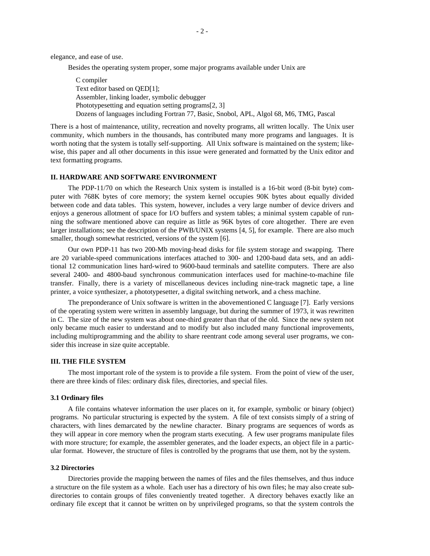elegance, and ease of use.

Besides the operating system proper, some major programs available under Unix are

C compiler Text editor based on QED[1]; Assembler, linking loader, symbolic debugger Phototypesetting and equation setting programs[2, 3] Dozens of languages including Fortran 77, Basic, Snobol, APL, Algol 68, M6, TMG, Pascal

There is a host of maintenance, utility, recreation and novelty programs, all written locally. The Unix user community, which numbers in the thousands, has contributed many more programs and languages. It is worth noting that the system is totally self-supporting. All Unix software is maintained on the system; likewise, this paper and all other documents in this issue were generated and formatted by the Unix editor and text formatting programs.

# **II. HARDWARE AND SOFTWARE ENVIRONMENT**

The PDP-11/70 on which the Research Unix system is installed is a 16-bit word (8-bit byte) computer with 768K bytes of core memory; the system kernel occupies 90K bytes about equally divided between code and data tables. This system, however, includes a very large number of device drivers and enjoys a generous allotment of space for I/O buffers and system tables; a minimal system capable of running the software mentioned above can require as little as 96K bytes of core altogether. There are even larger installations; see the description of the PWB/UNIX systems [4, 5], for example. There are also much smaller, though somewhat restricted, versions of the system [6].

Our own PDP-11 has two 200-Mb moving-head disks for file system storage and swapping. There are 20 variable-speed communications interfaces attached to 300- and 1200-baud data sets, and an additional 12 communication lines hard-wired to 9600-baud terminals and satellite computers. There are also several 2400- and 4800-baud synchronous communication interfaces used for machine-to-machine file transfer. Finally, there is a variety of miscellaneous devices including nine-track magnetic tape, a line printer, a voice synthesizer, a phototypesetter, a digital switching network, and a chess machine.

The preponderance of Unix software is written in the abovementioned C language [7]. Early versions of the operating system were written in assembly language, but during the summer of 1973, it was rewritten in C. The size of the new system was about one-third greater than that of the old. Since the new system not only became much easier to understand and to modify but also included many functional improvements, including multiprogramming and the ability to share reentrant code among several user programs, we consider this increase in size quite acceptable.

### **III. THE FILE SYSTEM**

The most important role of the system is to provide a file system. From the point of view of the user, there are three kinds of files: ordinary disk files, directories, and special files.

### **3.1 Ordinary files**

A file contains whatever information the user places on it, for example, symbolic or binary (object) programs. No particular structuring is expected by the system. A file of text consists simply of a string of characters, with lines demarcated by the newline character. Binary programs are sequences of words as they will appear in core memory when the program starts executing. A few user programs manipulate files with more structure; for example, the assembler generates, and the loader expects, an object file in a particular format. However, the structure of files is controlled by the programs that use them, not by the system.

## **3.2 Directories**

Directories provide the mapping between the names of files and the files themselves, and thus induce a structure on the file system as a whole. Each user has a directory of his own files; he may also create subdirectories to contain groups of files conveniently treated together. A directory behaves exactly like an ordinary file except that it cannot be written on by unprivileged programs, so that the system controls the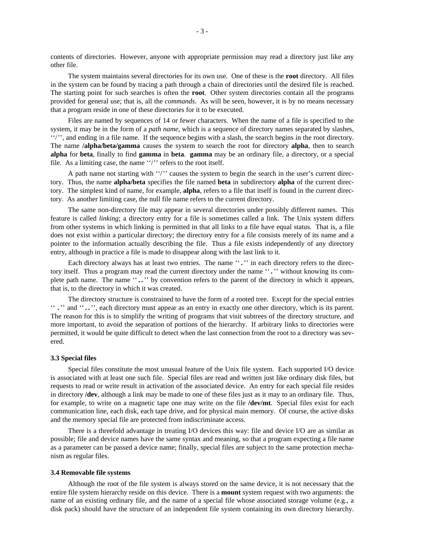contents of directories. However, anyone with appropriate permission may read a directory just like any other file.

The system maintains several directories for its own use. One of these is the **root** directory. All files in the system can be found by tracing a path through a chain of directories until the desired file is reached. The starting point for such searches is often the **root**. Other system directories contain all the programs provided for general use; that is, all the *commands*. As will be seen, however, it is by no means necessary that a program reside in one of these directories for it to be executed.

Files are named by sequences of 14 or fewer characters. When the name of a file is specified to the system, it may be in the form of a *path name*, which is a sequence of directory names separated by slashes, ''/'', and ending in a file name. If the sequence begins with a slash, the search begins in the root directory. The name **/alpha/beta/gamma** causes the system to search the root for directory **alpha**, then to search **alpha** for **beta**, finally to find **gamma** in **beta**. **gamma** may be an ordinary file, a directory, or a special file. As a limiting case, the name ''/'' refers to the root itself.

A path name not starting with ''/'' causes the system to begin the search in the user's current directory. Thus, the name **alpha/beta** specifies the file named **beta** in subdirectory **alpha** of the current directory. The simplest kind of name, for example, **alpha**, refers to a file that itself is found in the current directory. As another limiting case, the null file name refers to the current directory.

The same non-directory file may appear in several directories under possibly different names. This feature is called *linking*; a directory entry for a file is sometimes called a link. The Unix system differs from other systems in which linking is permitted in that all links to a file have equal status. That is, a file does not exist within a particular directory; the directory entry for a file consists merely of its name and a pointer to the information actually describing the file. Thus a file exists independently of any directory entry, although in practice a file is made to disappear along with the last link to it.

Each directory always has at least two entries. The name ''**.**'' in each directory refers to the directory itself. Thus a program may read the current directory under the name ''**.**'' without knowing its complete path name. The name ''**. .**'' by convention refers to the parent of the directory in which it appears, that is, to the directory in which it was created.

The directory structure is constrained to have the form of a rooted tree. Except for the special entries '' **.**'' and ''**. .**'', each directory must appear as an entry in exactly one other directory, which is its parent. The reason for this is to simplify the writing of programs that visit subtrees of the directory structure, and more important, to avoid the separation of portions of the hierarchy. If arbitrary links to directories were permitted, it would be quite difficult to detect when the last connection from the root to a directory was severed.

## **3.3 Special files**

Special files constitute the most unusual feature of the Unix file system. Each supported I/O device is associated with at least one such file. Special files are read and written just like ordinary disk files, but requests to read or write result in activation of the associated device. An entry for each special file resides in directory **/dev**, although a link may be made to one of these files just as it may to an ordinary file. Thus, for example, to write on a magnetic tape one may write on the file **/dev/mt**. Special files exist for each communication line, each disk, each tape drive, and for physical main memory. Of course, the active disks and the memory special file are protected from indiscriminate access.

There is a threefold advantage in treating I/O devices this way: file and device I/O are as similar as possible; file and device names have the same syntax and meaning, so that a program expecting a file name as a parameter can be passed a device name; finally, special files are subject to the same protection mechanism as regular files.

#### **3.4 Removable file systems**

Although the root of the file system is always stored on the same device, it is not necessary that the entire file system hierarchy reside on this device. There is a **mount** system request with two arguments: the name of an existing ordinary file, and the name of a special file whose associated storage volume (e.g., a disk pack) should have the structure of an independent file system containing its own directory hierarchy.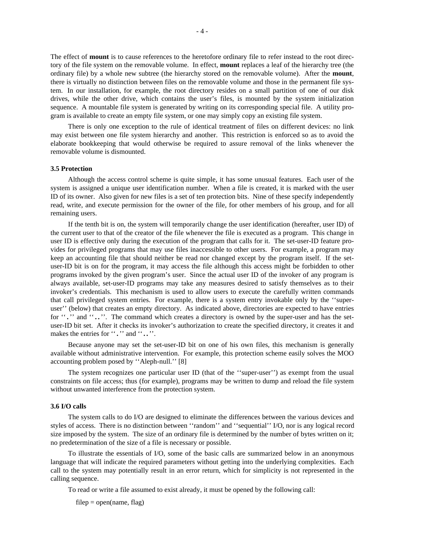The effect of **mount** is to cause references to the heretofore ordinary file to refer instead to the root directory of the file system on the removable volume. In effect, **mount** replaces a leaf of the hierarchy tree (the ordinary file) by a whole new subtree (the hierarchy stored on the removable volume). After the **mount**, there is virtually no distinction between files on the removable volume and those in the permanent file system. In our installation, for example, the root directory resides on a small partition of one of our disk drives, while the other drive, which contains the user's files, is mounted by the system initialization sequence. A mountable file system is generated by writing on its corresponding special file. A utility program is available to create an empty file system, or one may simply copy an existing file system.

There is only one exception to the rule of identical treatment of files on different devices: no link may exist between one file system hierarchy and another. This restriction is enforced so as to avoid the elaborate bookkeeping that would otherwise be required to assure removal of the links whenever the removable volume is dismounted.

#### **3.5 Protection**

Although the access control scheme is quite simple, it has some unusual features. Each user of the system is assigned a unique user identification number. When a file is created, it is marked with the user ID of its owner. Also given for new files is a set of ten protection bits. Nine of these specify independently read, write, and execute permission for the owner of the file, for other members of his group, and for all remaining users.

If the tenth bit is on, the system will temporarily change the user identification (hereafter, user ID) of the current user to that of the creator of the file whenever the file is executed as a program. This change in user ID is effective only during the execution of the program that calls for it. The set-user-ID feature provides for privileged programs that may use files inaccessible to other users. For example, a program may keep an accounting file that should neither be read nor changed except by the program itself. If the setuser-ID bit is on for the program, it may access the file although this access might be forbidden to other programs invoked by the given program's user. Since the actual user ID of the invoker of any program is always available, set-user-ID programs may take any measures desired to satisfy themselves as to their invoker's credentials. This mechanism is used to allow users to execute the carefully written commands that call privileged system entries. For example, there is a system entry invokable only by the ''superuser'' (below) that creates an empty directory. As indicated above, directories are expected to have entries for "**.**" and "...". The command which creates a directory is owned by the super-user and has the setuser-ID bit set. After it checks its invoker's authorization to create the specified directory, it creates it and makes the entries for "**.**" and "..".

Because anyone may set the set-user-ID bit on one of his own files, this mechanism is generally available without administrative intervention. For example, this protection scheme easily solves the MOO accounting problem posed by ''Aleph-null.'' [8]

The system recognizes one particular user ID (that of the ''super-user'') as exempt from the usual constraints on file access; thus (for example), programs may be written to dump and reload the file system without unwanted interference from the protection system.

### **3.6 I/O calls**

The system calls to do I/O are designed to eliminate the differences between the various devices and styles of access. There is no distinction between ''random'' and ''sequential'' I/O, nor is any logical record size imposed by the system. The size of an ordinary file is determined by the number of bytes written on it; no predetermination of the size of a file is necessary or possible.

To illustrate the essentials of I/O, some of the basic calls are summarized below in an anonymous language that will indicate the required parameters without getting into the underlying complexities. Each call to the system may potentially result in an error return, which for simplicity is not represented in the calling sequence.

To read or write a file assumed to exist already, it must be opened by the following call:

 $filep = open(name, flag)$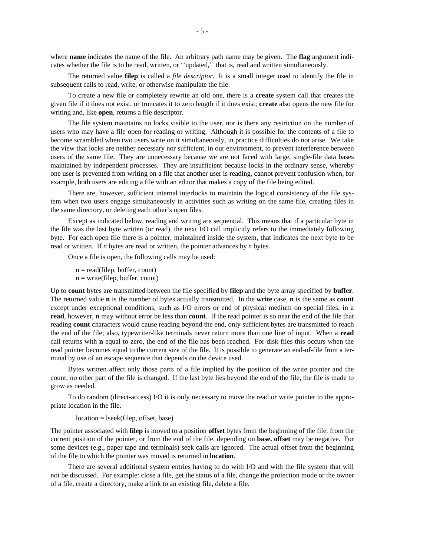where **name** indicates the name of the file. An arbitrary path name may be given. The **flag** argument indicates whether the file is to be read, written, or ''updated,'' that is, read and written simultaneously.

The returned value **filep** is called a *file descriptor*. It is a small integer used to identify the file in subsequent calls to read, write, or otherwise manipulate the file.

To create a new file or completely rewrite an old one, there is a **create** system call that creates the given file if it does not exist, or truncates it to zero length if it does exist; **create** also opens the new file for writing and, like **open**, returns a file descriptor.

The file system maintains no locks visible to the user, nor is there any restriction on the number of users who may have a file open for reading or writing. Although it is possible for the contents of a file to become scrambled when two users write on it simultaneously, in practice difficulties do not arise. We take the view that locks are neither necessary nor sufficient, in our environment, to prevent interference between users of the same file. They are unnecessary because we are not faced with large, single-file data bases maintained by independent processes. They are insufficient because locks in the ordinary sense, whereby one user is prevented from writing on a file that another user is reading, cannot prevent confusion when, for example, both users are editing a file with an editor that makes a copy of the file being edited.

There are, however, sufficient internal interlocks to maintain the logical consistency of the file system when two users engage simultaneously in activities such as writing on the same file, creating files in the same directory, or deleting each other's open files.

Except as indicated below, reading and writing are sequential. This means that if a particular byte in the file was the last byte written (or read), the next I/O call implicitly refers to the immediately following byte. For each open file there is a pointer, maintained inside the system, that indicates the next byte to be read or written. If *n* bytes are read or written, the pointer advances by *n* bytes.

Once a file is open, the following calls may be used:

 $n = read(filep, buffer, count)$  $n =$  write(filep, buffer, count)

Up to **count** bytes are transmitted between the file specified by **filep** and the byte array specified by **buffer**. The returned value **n** is the number of bytes actually transmitted. In the **write** case, **n** is the same as **count** except under exceptional conditions, such as I/O errors or end of physical medium on special files; in a **read**, however, **n** may without error be less than **count**. If the read pointer is so near the end of the file that reading **count** characters would cause reading beyond the end, only sufficient bytes are transmitted to reach the end of the file; also, typewriter-like terminals never return more than one line of input. When a **read** call returns with **n** equal to zero, the end of the file has been reached. For disk files this occurs when the read pointer becomes equal to the current size of the file. It is possible to generate an end-of-file from a terminal by use of an escape sequence that depends on the device used.

Bytes written affect only those parts of a file implied by the position of the write pointer and the count; no other part of the file is changed. If the last byte lies beyond the end of the file, the file is made to grow as needed.

To do random (direct-access) I/O it is only necessary to move the read or write pointer to the appropriate location in the file.

### $location = lseek(filep, offset, base)$

The pointer associated with **filep** is moved to a position **offset** bytes from the beginning of the file, from the current position of the pointer, or from the end of the file, depending on **base. offset** may be negative. For some devices (e.g., paper tape and terminals) seek calls are ignored. The actual offset from the beginning of the file to which the pointer was moved is returned in **location**.

There are several additional system entries having to do with I/O and with the file system that will not be discussed. For example: close a file, get the status of a file, change the protection mode or the owner of a file, create a directory, make a link to an existing file, delete a file.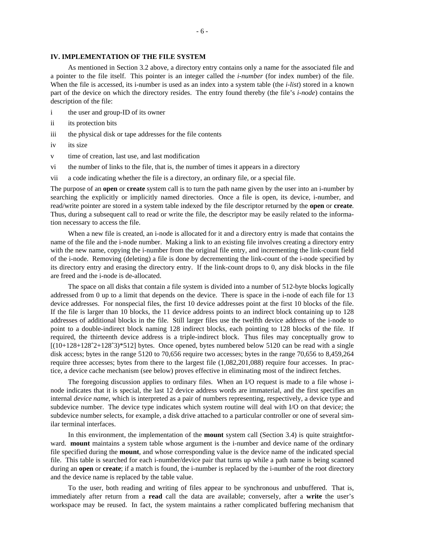#### **IV. IMPLEMENTATION OF THE FILE SYSTEM**

As mentioned in Section 3.2 above, a directory entry contains only a name for the associated file and a pointer to the file itself. This pointer is an integer called the *i-number* (for index number) of the file. When the file is accessed, its i-number is used as an index into a system table (the *i-list*) stored in a known part of the device on which the directory resides. The entry found thereby (the file's *i-node*) contains the description of the file:

- i the user and group-ID of its owner
- ii its protection bits
- iii the physical disk or tape addresses for the file contents
- iv its size
- v time of creation, last use, and last modification
- vi the number of links to the file, that is, the number of times it appears in a directory
- vii a code indicating whether the file is a directory, an ordinary file, or a special file.

The purpose of an **open** or **create** system call is to turn the path name given by the user into an i-number by searching the explicitly or implicitly named directories. Once a file is open, its device, i-number, and read/write pointer are stored in a system table indexed by the file descriptor returned by the **open** or **create**. Thus, during a subsequent call to read or write the file, the descriptor may be easily related to the information necessary to access the file.

When a new file is created, an i-node is allocated for it and a directory entry is made that contains the name of the file and the i-node number. Making a link to an existing file involves creating a directory entry with the new name, copying the i-number from the original file entry, and incrementing the link-count field of the i-node. Removing (deleting) a file is done by decrementing the link-count of the i-node specified by its directory entry and erasing the directory entry. If the link-count drops to 0, any disk blocks in the file are freed and the i-node is de-allocated.

The space on all disks that contain a file system is divided into a number of 512-byte blocks logically addressed from 0 up to a limit that depends on the device. There is space in the i-node of each file for 13 device addresses. For nonspecial files, the first 10 device addresses point at the first 10 blocks of the file. If the file is larger than 10 blocks, the 11 device address points to an indirect block containing up to 128 addresses of additional blocks in the file. Still larger files use the twelfth device address of the i-node to point to a double-indirect block naming 128 indirect blocks, each pointing to 128 blocks of the file. If required, the thirteenth device address is a triple-indirect block. Thus files may conceptually grow to  $[(10+128+128<sup>o</sup>2+128<sup>o</sup>3)*512]$  bytes. Once opened, bytes numbered below 5120 can be read with a single disk access; bytes in the range 5120 to 70,656 require two accesses; bytes in the range 70,656 to 8,459,264 require three accesses; bytes from there to the largest file (1,082,201,088) require four accesses. In practice, a device cache mechanism (see below) proves effective in eliminating most of the indirect fetches.

The foregoing discussion applies to ordinary files. When an I/O request is made to a file whose inode indicates that it is special, the last 12 device address words are immaterial, and the first specifies an internal *device name*, which is interpreted as a pair of numbers representing, respectively, a device type and subdevice number. The device type indicates which system routine will deal with I/O on that device; the subdevice number selects, for example, a disk drive attached to a particular controller or one of several similar terminal interfaces.

In this environment, the implementation of the **mount** system call (Section 3.4) is quite straightforward. **mount** maintains a system table whose argument is the i-number and device name of the ordinary file specified during the **mount**, and whose corresponding value is the device name of the indicated special file. This table is searched for each i-number/device pair that turns up while a path name is being scanned during an **open** or **create**; if a match is found, the i-number is replaced by the i-number of the root directory and the device name is replaced by the table value.

To the user, both reading and writing of files appear to be synchronous and unbuffered. That is, immediately after return from a **read** call the data are available; conversely, after a **write** the user's workspace may be reused. In fact, the system maintains a rather complicated buffering mechanism that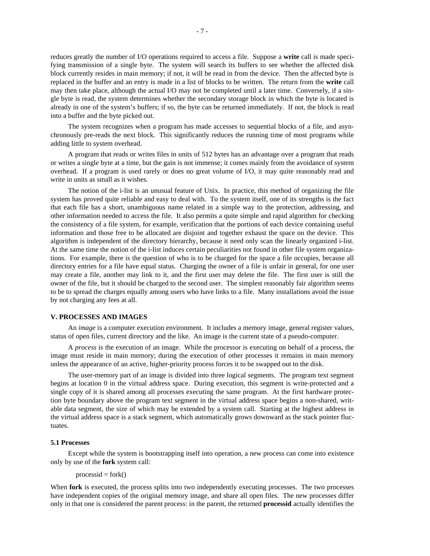reduces greatly the number of I/O operations required to access a file. Suppose a **write** call is made specifying transmission of a single byte. The system will search its buffers to see whether the affected disk block currently resides in main memory; if not, it will be read in from the device. Then the affected byte is replaced in the buffer and an entry is made in a list of blocks to be written. The return from the **write** call may then take place, although the actual I/O may not be completed until a later time. Conversely, if a single byte is read, the system determines whether the secondary storage block in which the byte is located is already in one of the system's buffers; if so, the byte can be returned immediately. If not, the block is read into a buffer and the byte picked out.

The system recognizes when a program has made accesses to sequential blocks of a file, and asynchronously pre-reads the next block. This significantly reduces the running time of most programs while adding little to system overhead.

A program that reads or writes files in units of 512 bytes has an advantage over a program that reads or writes a single byte at a time, but the gain is not immense; it comes mainly from the avoidance of system overhead. If a program is used rarely or does no great volume of I/O, it may quite reasonably read and write in units as small as it wishes.

The notion of the i-list is an unusual feature of Unix. In practice, this method of organizing the file system has proved quite reliable and easy to deal with. To the system itself, one of its strengths is the fact that each file has a short, unambiguous name related in a simple way to the protection, addressing, and other information needed to access the file. It also permits a quite simple and rapid algorithm for checking the consistency of a file system, for example, verification that the portions of each device containing useful information and those free to be allocated are disjoint and together exhaust the space on the device. This algorithm is independent of the directory hierarchy, because it need only scan the linearly organized i-list. At the same time the notion of the i-list induces certain peculiarities not found in other file system organizations. For example, there is the question of who is to be charged for the space a file occupies, because all directory entries for a file have equal status. Charging the owner of a file is unfair in general, for one user may create a file, another may link to it, and the first user may delete the file. The first user is still the owner of the file, but it should be charged to the second user. The simplest reasonably fair algorithm seems to be to spread the charges equally among users who have links to a file. Many installations avoid the issue by not charging any fees at all.

#### **V. PROCESSES AND IMAGES**

An *image* is a computer execution environment. It includes a memory image, general register values, status of open files, current directory and the like. An image is the current state of a pseudo-computer.

A *process* is the execution of an image. While the processor is executing on behalf of a process, the image must reside in main memory; during the execution of other processes it remains in main memory unless the appearance of an active, higher-priority process forces it to be swapped out to the disk.

The user-memory part of an image is divided into three logical segments. The program text segment begins at location 0 in the virtual address space. During execution, this segment is write-protected and a single copy of it is shared among all processes executing the same program. At the first hardware protection byte boundary above the program text segment in the virtual address space begins a non-shared, writable data segment, the size of which may be extended by a system call. Starting at the highest address in the virtual address space is a stack segment, which automatically grows downward as the stack pointer fluctuates.

#### **5.1 Processes**

Except while the system is bootstrapping itself into operation, a new process can come into existence only by use of the **fork** system call:

 $processid = fork()$ 

When **fork** is executed, the process splits into two independently executing processes. The two processes have independent copies of the original memory image, and share all open files. The new processes differ only in that one is considered the parent process: in the parent, the returned **processid** actually identifies the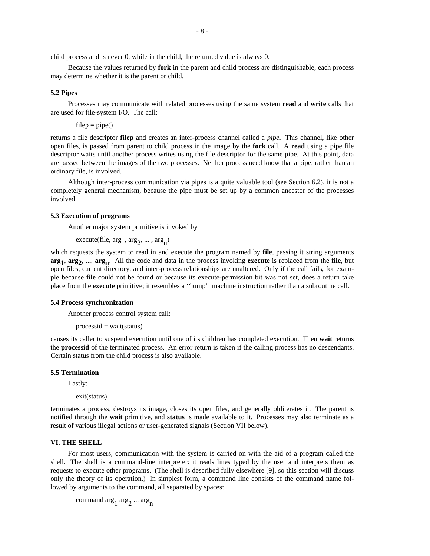child process and is never 0, while in the child, the returned value is always 0.

Because the values returned by **fork** in the parent and child process are distinguishable, each process may determine whether it is the parent or child.

#### **5.2 Pipes**

Processes may communicate with related processes using the same system **read** and **write** calls that are used for file-system I/O. The call:

 $filep = pipe()$ 

returns a file descriptor **filep** and creates an inter-process channel called a *pipe*. This channel, like other open files, is passed from parent to child process in the image by the **fork** call. A **read** using a pipe file descriptor waits until another process writes using the file descriptor for the same pipe. At this point, data are passed between the images of the two processes. Neither process need know that a pipe, rather than an ordinary file, is involved.

Although inter-process communication via pipes is a quite valuable tool (see Section 6.2), it is not a completely general mechanism, because the pipe must be set up by a common ancestor of the processes involved.

## **5.3 Execution of programs**

Another major system primitive is invoked by

 $\text{execute}(\text{file}, \arg_1, \arg_2, ..., \arg_n)$ 

which requests the system to read in and execute the program named by **file**, passing it string arguments **arg<sub>1</sub>**, **arg<sub>2</sub>**, **...**, **arg<sub>n</sub>**. All the code and data in the process invoking **execute** is replaced from the file, but open files, current directory, and inter-process relationships are unaltered. Only if the call fails, for example because **file** could not be found or because its execute-permission bit was not set, does a return take place from the **execute** primitive; it resembles a ''jump'' machine instruction rather than a subroutine call.

#### **5.4 Process synchronization**

Another process control system call:

 $processid = wait(status)$ 

causes its caller to suspend execution until one of its children has completed execution. Then **wait** returns the **processid** of the terminated process. An error return is taken if the calling process has no descendants. Certain status from the child process is also available.

#### **5.5 Termination**

Lastly:

exit(status)

terminates a process, destroys its image, closes its open files, and generally obliterates it. The parent is notified through the **wait** primitive, and **status** is made available to it. Processes may also terminate as a result of various illegal actions or user-generated signals (Section VII below).

#### **VI. THE SHELL**

For most users, communication with the system is carried on with the aid of a program called the shell. The shell is a command-line interpreter: it reads lines typed by the user and interprets them as requests to execute other programs. (The shell is described fully elsewhere [9], so this section will discuss only the theory of its operation.) In simplest form, a command line consists of the command name followed by arguments to the command, all separated by spaces:

command  $\arg_1 \arg_2 ... \arg_n$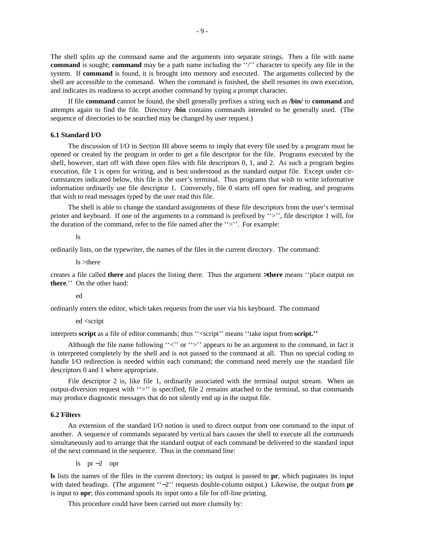The shell splits up the command name and the arguments into separate strings. Then a file with name **command** is sought; **command** may be a path name including the ''/'' character to specify any file in the system. If **command** is found, it is brought into memory and executed. The arguments collected by the shell are accessible to the command. When the command is finished, the shell resumes its own execution, and indicates its readiness to accept another command by typing a prompt character.

If file **command** cannot be found, the shell generally prefixes a string such as **/bin/** to **command** and attempts again to find the file. Directory **/bin** contains commands intended to be generally used. (The sequence of directories to be searched may be changed by user request.)

#### **6.1 Standard I/O**

The discussion of I/O in Section III above seems to imply that every file used by a program must be opened or created by the program in order to get a file descriptor for the file. Programs executed by the shell, however, start off with three open files with file descriptors 0, 1, and 2. As such a program begins execution, file 1 is open for writing, and is best understood as the standard output file. Except under circumstances indicated below, this file is the user's terminal. Thus programs that wish to write informative information ordinarily use file descriptor 1. Conversely, file 0 starts off open for reading, and programs that wish to read messages typed by the user read this file.

The shell is able to change the standard assignments of these file descriptors from the user's terminal printer and keyboard. If one of the arguments to a command is prefixed by ''>'', file descriptor 1 will, for the duration of the command, refer to the file named after the ''>''. For example:

ls

ordinarily lists, on the typewriter, the names of the files in the current directory. The command:

ls >there

creates a file called **there** and places the listing there. Thus the argument >**there** means ''place output on **there**.'' On the other hand:

ed

ordinarily enters the editor, which takes requests from the user via his keyboard. The command

ed <script

interprets **script** as a file of editor commands; thus ''<script'' means ''take input from **script.''**

Although the file name following "<" or ">" appears to be an argument to the command, in fact it is interpreted completely by the shell and is not passed to the command at all. Thus no special coding to handle I/O redirection is needed within each command; the command need merely use the standard file descriptors 0 and 1 where appropriate.

File descriptor 2 is, like file 1, ordinarily associated with the terminal output stream. When an output-diversion request with ">" is specified, file 2 remains attached to the terminal, so that commands may produce diagnostic messages that do not silently end up in the output file.

### **6.2 Filters**

An extension of the standard I/O notion is used to direct output from one command to the input of another. A sequence of commands separated by vertical bars causes the shell to execute all the commands simultaneously and to arrange that the standard output of each command be delivered to the standard input of the next command in the sequence. Thus in the command line:

ls  $|pr-2|$  opr

**ls** lists the names of the files in the current directory; its output is passed to **pr**, which paginates its input with dated headings. (The argument ''−2'' requests double-column output.) Likewise, the output from **pr** is input to **opr**; this command spools its input onto a file for off-line printing.

This procedure could have been carried out more clumsily by: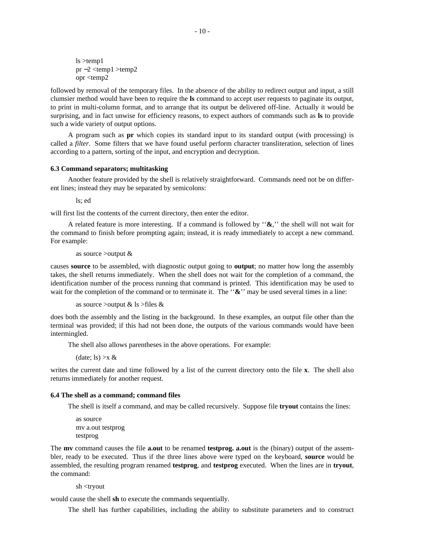ls >temp1 pr −2 <temp1 >temp2 opr <temp2

followed by removal of the temporary files. In the absence of the ability to redirect output and input, a still clumsier method would have been to require the **ls** command to accept user requests to paginate its output, to print in multi-column format, and to arrange that its output be delivered off-line. Actually it would be surprising, and in fact unwise for efficiency reasons, to expect authors of commands such as **ls** to provide such a wide variety of output options.

A program such as **pr** which copies its standard input to its standard output (with processing) is called a *filter*. Some filters that we have found useful perform character transliteration, selection of lines according to a pattern, sorting of the input, and encryption and decryption.

### **6.3 Command separators; multitasking**

Another feature provided by the shell is relatively straightforward. Commands need not be on different lines; instead they may be separated by semicolons:

ls; ed

will first list the contents of the current directory, then enter the editor.

A related feature is more interesting. If a command is followed by ''**&**,'' the shell will not wait for the command to finish before prompting again; instead, it is ready immediately to accept a new command. For example:

as source >output &

causes **source** to be assembled, with diagnostic output going to **output**; no matter how long the assembly takes, the shell returns immediately. When the shell does not wait for the completion of a command, the identification number of the process running that command is printed. This identification may be used to wait for the completion of the command or to terminate it. The " $\&$ " may be used several times in a line:

as source >output &  $\vert$  ls >files &

does both the assembly and the listing in the background. In these examples, an output file other than the terminal was provided; if this had not been done, the outputs of the various commands would have been intermingled.

The shell also allows parentheses in the above operations. For example:

(date; ls)  $\geq x \&$ 

writes the current date and time followed by a list of the current directory onto the file **x**. The shell also returns immediately for another request.

#### **6.4 The shell as a command; command files**

The shell is itself a command, and may be called recursively. Suppose file **tryout** contains the lines:

as source mv a.out testprog testprog

The **mv** command causes the file **a.out** to be renamed **testprog. a.out** is the (binary) output of the assembler, ready to be executed. Thus if the three lines above were typed on the keyboard, **source** would be assembled, the resulting program renamed **testprog**, and **testprog** executed. When the lines are in **tryout**, the command:

sh <tryout

would cause the shell **sh** to execute the commands sequentially.

The shell has further capabilities, including the ability to substitute parameters and to construct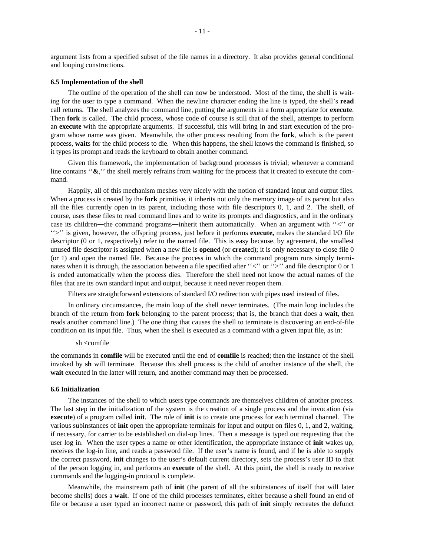argument lists from a specified subset of the file names in a directory. It also provides general conditional and looping constructions.

### **6.5 Implementation of the shell**

The outline of the operation of the shell can now be understood. Most of the time, the shell is waiting for the user to type a command. When the newline character ending the line is typed, the shell's **read** call returns. The shell analyzes the command line, putting the arguments in a form appropriate for **execute**. Then **fork** is called. The child process, whose code of course is still that of the shell, attempts to perform an **execute** with the appropriate arguments. If successful, this will bring in and start execution of the program whose name was given. Meanwhile, the other process resulting from the **fork**, which is the parent process, **wait**s for the child process to die. When this happens, the shell knows the command is finished, so it types its prompt and reads the keyboard to obtain another command.

Given this framework, the implementation of background processes is trivial; whenever a command line contains ''**&**,'' the shell merely refrains from waiting for the process that it created to execute the command.

Happily, all of this mechanism meshes very nicely with the notion of standard input and output files. When a process is created by the **fork** primitive, it inherits not only the memory image of its parent but also all the files currently open in its parent, including those with file descriptors 0, 1, and 2. The shell, of course, uses these files to read command lines and to write its prompts and diagnostics, and in the ordinary case its children—the command programs—inherit them automatically. When an argument with ''<'' or ''>'' is given, however, the offspring process, just before it performs **execute,** makes the standard I/O file descriptor (0 or 1, respectively) refer to the named file. This is easy because, by agreement, the smallest unused file descriptor is assigned when a new file is **open**ed (or **create**d); it is only necessary to close file 0 (or 1) and open the named file. Because the process in which the command program runs simply terminates when it is through, the association between a file specified after "<" or ">" and file descriptor 0 or 1 is ended automatically when the process dies. Therefore the shell need not know the actual names of the files that are its own standard input and output, because it need never reopen them.

Filters are straightforward extensions of standard I/O redirection with pipes used instead of files.

In ordinary circumstances, the main loop of the shell never terminates. (The main loop includes the branch of the return from **fork** belonging to the parent process; that is, the branch that does a **wait**, then reads another command line.) The one thing that causes the shell to terminate is discovering an end-of-file condition on its input file. Thus, when the shell is executed as a command with a given input file, as in:

#### sh <comfile

the commands in **comfile** will be executed until the end of **comfile** is reached; then the instance of the shell invoked by **sh** will terminate. Because this shell process is the child of another instance of the shell, the **wait** executed in the latter will return, and another command may then be processed.

### **6.6 Initialization**

The instances of the shell to which users type commands are themselves children of another process. The last step in the initialization of the system is the creation of a single process and the invocation (via **execute**) of a program called **init**. The role of **init** is to create one process for each terminal channel. The various subinstances of **init** open the appropriate terminals for input and output on files 0, 1, and 2, waiting, if necessary, for carrier to be established on dial-up lines. Then a message is typed out requesting that the user log in. When the user types a name or other identification, the appropriate instance of **init** wakes up, receives the log-in line, and reads a password file. If the user's name is found, and if he is able to supply the correct password, **init** changes to the user's default current directory, sets the process's user ID to that of the person logging in, and performs an **execute** of the shell. At this point, the shell is ready to receive commands and the logging-in protocol is complete.

Meanwhile, the mainstream path of **init** (the parent of all the subinstances of itself that will later become shells) does a **wait**. If one of the child processes terminates, either because a shell found an end of file or because a user typed an incorrect name or password, this path of **init** simply recreates the defunct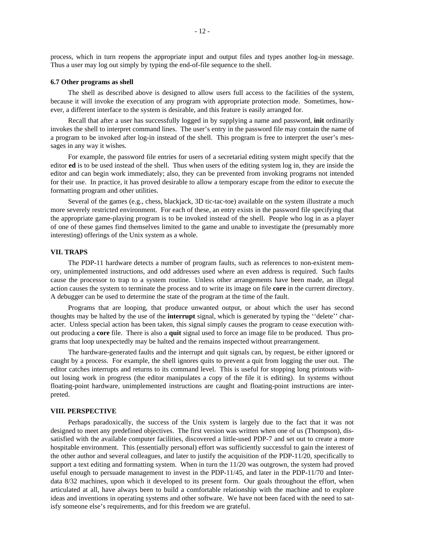process, which in turn reopens the appropriate input and output files and types another log-in message. Thus a user may log out simply by typing the end-of-file sequence to the shell.

### **6.7 Other programs as shell**

The shell as described above is designed to allow users full access to the facilities of the system, because it will invoke the execution of any program with appropriate protection mode. Sometimes, however, a different interface to the system is desirable, and this feature is easily arranged for.

Recall that after a user has successfully logged in by supplying a name and password, **init** ordinarily invokes the shell to interpret command lines. The user's entry in the password file may contain the name of a program to be invoked after log-in instead of the shell. This program is free to interpret the user's messages in any way it wishes.

For example, the password file entries for users of a secretarial editing system might specify that the editor **ed** is to be used instead of the shell. Thus when users of the editing system log in, they are inside the editor and can begin work immediately; also, they can be prevented from invoking programs not intended for their use. In practice, it has proved desirable to allow a temporary escape from the editor to execute the formatting program and other utilities.

Several of the games (e.g., chess, blackjack, 3D tic-tac-toe) available on the system illustrate a much more severely restricted environment. For each of these, an entry exists in the password file specifying that the appropriate game-playing program is to be invoked instead of the shell. People who log in as a player of one of these games find themselves limited to the game and unable to investigate the (presumably more interesting) offerings of the Unix system as a whole.

## **VII. TRAPS**

The PDP-11 hardware detects a number of program faults, such as references to non-existent memory, unimplemented instructions, and odd addresses used where an even address is required. Such faults cause the processor to trap to a system routine. Unless other arrangements have been made, an illegal action causes the system to terminate the process and to write its image on file **core** in the current directory. A debugger can be used to determine the state of the program at the time of the fault.

Programs that are looping, that produce unwanted output, or about which the user has second thoughts may be halted by the use of the **interrupt** signal, which is generated by typing the ''delete'' character. Unless special action has been taken, this signal simply causes the program to cease execution without producing a **core** file. There is also a **quit** signal used to force an image file to be produced. Thus programs that loop unexpectedly may be halted and the remains inspected without prearrangement.

The hardware-generated faults and the interrupt and quit signals can, by request, be either ignored or caught by a process. For example, the shell ignores quits to prevent a quit from logging the user out. The editor catches interrupts and returns to its command level. This is useful for stopping long printouts without losing work in progress (the editor manipulates a copy of the file it is editing). In systems without floating-point hardware, unimplemented instructions are caught and floating-point instructions are interpreted.

#### **VIII. PERSPECTIVE**

Perhaps paradoxically, the success of the Unix system is largely due to the fact that it was not designed to meet any predefined objectives. The first version was written when one of us (Thompson), dissatisfied with the available computer facilities, discovered a little-used PDP-7 and set out to create a more hospitable environment. This (essentially personal) effort was sufficiently successful to gain the interest of the other author and several colleagues, and later to justify the acquisition of the PDP-11/20, specifically to support a text editing and formatting system. When in turn the 11/20 was outgrown, the system had proved useful enough to persuade management to invest in the PDP-11/45, and later in the PDP-11/70 and Interdata 8/32 machines, upon which it developed to its present form. Our goals throughout the effort, when articulated at all, have always been to build a comfortable relationship with the machine and to explore ideas and inventions in operating systems and other software. We have not been faced with the need to satisfy someone else's requirements, and for this freedom we are grateful.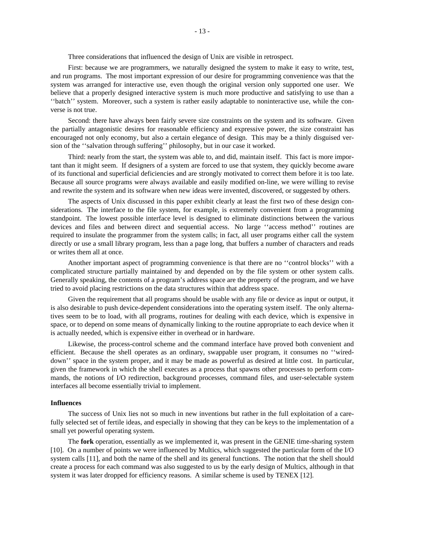Three considerations that influenced the design of Unix are visible in retrospect.

First: because we are programmers, we naturally designed the system to make it easy to write, test, and run programs. The most important expression of our desire for programming convenience was that the system was arranged for interactive use, even though the original version only supported one user. We believe that a properly designed interactive system is much more productive and satisfying to use than a ''batch'' system. Moreover, such a system is rather easily adaptable to noninteractive use, while the converse is not true.

Second: there have always been fairly severe size constraints on the system and its software. Given the partially antagonistic desires for reasonable efficiency and expressive power, the size constraint has encouraged not only economy, but also a certain elegance of design. This may be a thinly disguised version of the ''salvation through suffering'' philosophy, but in our case it worked.

Third: nearly from the start, the system was able to, and did, maintain itself. This fact is more important than it might seem. If designers of a system are forced to use that system, they quickly become aware of its functional and superficial deficiencies and are strongly motivated to correct them before it is too late. Because all source programs were always available and easily modified on-line, we were willing to revise and rewrite the system and its software when new ideas were invented, discovered, or suggested by others.

The aspects of Unix discussed in this paper exhibit clearly at least the first two of these design considerations. The interface to the file system, for example, is extremely convenient from a programming standpoint. The lowest possible interface level is designed to eliminate distinctions between the various devices and files and between direct and sequential access. No large ''access method'' routines are required to insulate the programmer from the system calls; in fact, all user programs either call the system directly or use a small library program, less than a page long, that buffers a number of characters and reads or writes them all at once.

Another important aspect of programming convenience is that there are no ''control blocks'' with a complicated structure partially maintained by and depended on by the file system or other system calls. Generally speaking, the contents of a program's address space are the property of the program, and we have tried to avoid placing restrictions on the data structures within that address space.

Given the requirement that all programs should be usable with any file or device as input or output, it is also desirable to push device-dependent considerations into the operating system itself. The only alternatives seem to be to load, with all programs, routines for dealing with each device, which is expensive in space, or to depend on some means of dynamically linking to the routine appropriate to each device when it is actually needed, which is expensive either in overhead or in hardware.

Likewise, the process-control scheme and the command interface have proved both convenient and efficient. Because the shell operates as an ordinary, swappable user program, it consumes no ''wireddown'' space in the system proper, and it may be made as powerful as desired at little cost. In particular, given the framework in which the shell executes as a process that spawns other processes to perform commands, the notions of I/O redirection, background processes, command files, and user-selectable system interfaces all become essentially trivial to implement.

## **Influences**

The success of Unix lies not so much in new inventions but rather in the full exploitation of a carefully selected set of fertile ideas, and especially in showing that they can be keys to the implementation of a small yet powerful operating system.

The **fork** operation, essentially as we implemented it, was present in the GENIE time-sharing system [10]. On a number of points we were influenced by Multics, which suggested the particular form of the I/O system calls [11], and both the name of the shell and its general functions. The notion that the shell should create a process for each command was also suggested to us by the early design of Multics, although in that system it was later dropped for efficiency reasons. A similar scheme is used by TENEX [12].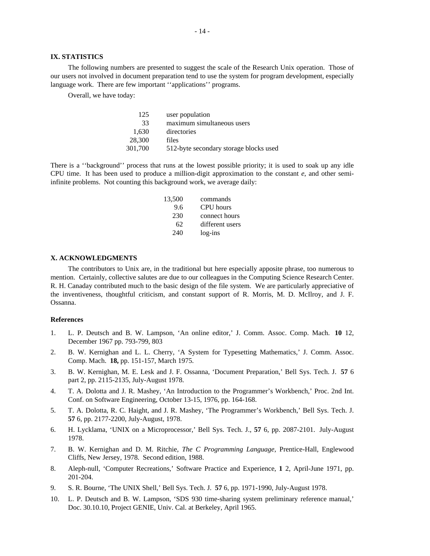### **IX. STATISTICS**

The following numbers are presented to suggest the scale of the Research Unix operation. Those of our users not involved in document preparation tend to use the system for program development, especially language work. There are few important ''applications'' programs.

Overall, we have today:

| 125     | user population                        |
|---------|----------------------------------------|
| 33      | maximum simultaneous users             |
| 1,630   | directories                            |
| 28,300  | files                                  |
| 301,700 | 512-byte secondary storage blocks used |

There is a ''background'' process that runs at the lowest possible priority; it is used to soak up any idle CPU time. It has been used to produce a million-digit approximation to the constant *e*, and other semiinfinite problems. Not counting this background work, we average daily:

| 13,500 | commands         |
|--------|------------------|
| 9.6    | <b>CPU</b> hours |
| 230    | connect hours    |
| 62     | different users  |
| 240    | log-ins          |

### **X. ACKNOWLEDGMENTS**

The contributors to Unix are, in the traditional but here especially apposite phrase, too numerous to mention. Certainly, collective salutes are due to our colleagues in the Computing Science Research Center. R. H. Canaday contributed much to the basic design of the file system. We are particularly appreciative of the inventiveness, thoughtful criticism, and constant support of R. Morris, M. D. McIlroy, and J. F. Ossanna.

### **References**

- 1. L. P. Deutsch and B. W. Lampson, 'An online editor,' J. Comm. Assoc. Comp. Mach. **10** 12, December 1967 pp. 793-799, 803
- 2. B. W. Kernighan and L. L. Cherry, 'A System for Typesetting Mathematics,' J. Comm. Assoc. Comp. Mach. **18,** pp. 151-157, March 1975.
- 3. B. W. Kernighan, M. E. Lesk and J. F. Ossanna, 'Document Preparation,' Bell Sys. Tech. J. **57** 6 part 2, pp. 2115-2135, July-August 1978.
- 4. T. A. Dolotta and J. R. Mashey, 'An Introduction to the Programmer's Workbench,' Proc. 2nd Int. Conf. on Software Engineering, October 13-15, 1976, pp. 164-168.
- 5. T. A. Dolotta, R. C. Haight, and J. R. Mashey, 'The Programmer's Workbench,' Bell Sys. Tech. J. **57** 6, pp. 2177-2200, July-August, 1978.
- 6. H. Lycklama, 'UNIX on a Microprocessor,' Bell Sys. Tech. J., **57** 6, pp. 2087-2101. July-August 1978.
- 7. B. W. Kernighan and D. M. Ritchie, *The C Programming Language,* Prentice-Hall, Englewood Cliffs, New Jersey, 1978. Second edition, 1988.
- 8. Aleph-null, 'Computer Recreations,' Software Practice and Experience, **1** 2, April-June 1971, pp. 201-204.
- 9. S. R. Bourne, 'The UNIX Shell,' Bell Sys. Tech. J. **57** 6, pp. 1971-1990, July-August 1978.
- 10. L. P. Deutsch and B. W. Lampson, 'SDS 930 time-sharing system preliminary reference manual,' Doc. 30.10.10, Project GENIE, Univ. Cal. at Berkeley, April 1965.